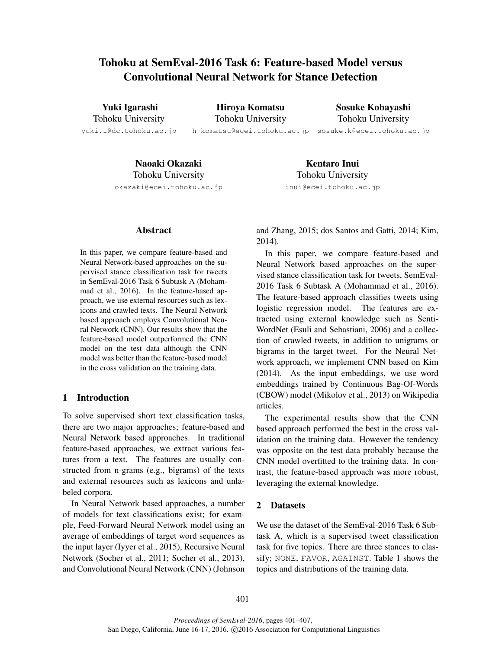# Tohoku at SemEval-2016 Task 6: Feature-based Model versus Convolutional Neural Network for Stance Detection

Yuki Igarashi Tohoku University yuki.i@dc.tohoku.ac.jp

Hiroya Komatsu Tohoku University h-komatsu@ecei.tohoku.ac.jp sosuke.k@ecei.tohoku.ac.jp

Sosuke Kobayashi Tohoku University

Naoaki Okazaki Tohoku University okazaki@ecei.tohoku.ac.jp

Abstract

In this paper, we compare feature-based and Neural Network-based approaches on the supervised stance classification task for tweets in SemEval-2016 Task 6 Subtask A (Mohammad et al., 2016). In the feature-based approach, we use external resources such as lexicons and crawled texts. The Neural Network based approach employs Convolutional Neural Network (CNN). Our results show that the feature-based model outperformed the CNN model on the test data although the CNN model was better than the feature-based model in the cross validation on the training data.

# 1 Introduction

To solve supervised short text classification tasks, there are two major approaches; feature-based and Neural Network based approaches. In traditional feature-based approaches, we extract various features from a text. The features are usually constructed from n-grams (e.g., bigrams) of the texts and external resources such as lexicons and unlabeled corpora.

In Neural Network based approaches, a number of models for text classifications exist; for example, Feed-Forward Neural Network model using an average of embeddings of target word sequences as the input layer (Iyyer et al., 2015), Recursive Neural Network (Socher et al., 2011; Socher et al., 2013), and Convolutional Neural Network (CNN) (Johnson

Kentaro Inui Tohoku University inui@ecei.tohoku.ac.jp

and Zhang, 2015; dos Santos and Gatti, 2014; Kim, 2014).

In this paper, we compare feature-based and Neural Network based approaches on the supervised stance classification task for tweets, SemEval-2016 Task 6 Subtask A (Mohammad et al., 2016). The feature-based approach classifies tweets using logistic regression model. The features are extracted using external knowledge such as Senti-WordNet (Esuli and Sebastiani, 2006) and a collection of crawled tweets, in addition to unigrams or bigrams in the target tweet. For the Neural Network approach, we implement CNN based on Kim (2014). As the input embeddings, we use word embeddings trained by Continuous Bag-Of-Words (CBOW) model (Mikolov et al., 2013) on Wikipedia articles.

The experimental results show that the CNN based approach performed the best in the cross validation on the training data. However the tendency was opposite on the test data probably because the CNN model overfitted to the training data. In contrast, the feature-based approach was more robust, leveraging the external knowledge.

# 2 Datasets

We use the dataset of the SemEval-2016 Task 6 Subtask A, which is a supervised tweet classification task for five topics. There are three stances to classify; NONE, FAVOR, AGAINST. Table 1 shows the topics and distributions of the training data.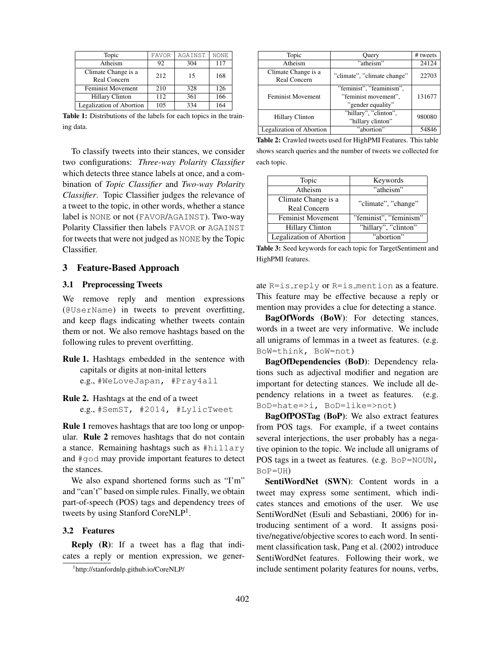| Topic                               | <b>FAVOR</b> | AGAINST | <b>NONE</b> |
|-------------------------------------|--------------|---------|-------------|
| Atheism                             | 92           | 304     | 117         |
| Climate Change is a<br>Real Concern | 212          | 15      | 168         |
| <b>Feminist Movement</b>            | 210          | 328     | 126         |
| <b>Hillary Clinton</b>              | 112          | 361     | 166         |
| <b>Legalization of Abortion</b>     | 105          | 334     | 164         |

Table 1: Distributions of the labels for each topics in the training data.

To classify tweets into their stances, we consider two configurations: *Three-way Polarity Classifier* which detects three stance labels at once, and a combination of *Topic Classifier* and *Two-way Polarity Classifier*. Topic Classifier judges the relevance of a tweet to the topic, in other words, whether a stance label is NONE or not (FAVOR/AGAINST). Two-way Polarity Classifier then labels FAVOR or AGAINST for tweets that were not judged as NONE by the Topic Classifier.

# 3 Feature-Based Approach

### 3.1 Preprocessing Tweets

We remove reply and mention expressions (@UserName) in tweets to prevent overfitting, and keep flags indicating whether tweets contain them or not. We also remove hashtags based on the following rules to prevent overfitting.

- Rule 1. Hashtags embedded in the sentence with capitals or digits at non-inital letters e.g., #WeLoveJapan, #Pray4all
- Rule 2. Hashtags at the end of a tweet e.g., #SemST, #2014, #LylicTweet

Rule 1 removes hashtags that are too long or unpopular. Rule 2 removes hashtags that do not contain a stance. Remaining hashtags such as #hillary and #god may provide important features to detect the stances.

We also expand shortened forms such as "I'm" and "can't" based on simple rules. Finally, we obtain part-of-speech (POS) tags and dependency trees of tweets by using Stanford CoreNLP<sup>1</sup>.

#### 3.2 Features

Reply (R): If a tweet has a flag that indicates a reply or mention expression, we gener-

| Topic                               | Query                                                                 | # tweets |
|-------------------------------------|-----------------------------------------------------------------------|----------|
| Atheism                             | "atheism"                                                             | 24124    |
| Climate Change is a<br>Real Concern | "climate", "climate change"                                           | 22703    |
| <b>Feminist Movement</b>            | "feminist", "feaminism",<br>"feminist movement",<br>"gender equality" | 131677   |
| <b>Hillary Clinton</b>              | "hillary", "clinton",<br>"hillary clinton"                            | 980080   |
| Legalization of Abortion            | "abortion"                                                            | 5484     |

Table 2: Crawled tweets used for HighPMI Features. This table shows search queries and the number of tweets we collected for each topic.

| Topic                    | Keywords               |  |
|--------------------------|------------------------|--|
| Atheism                  | "atheism"              |  |
| Climate Change is a      | "climate", "change"    |  |
| <b>Real Concern</b>      |                        |  |
| Feminist Movement        | "feminist", "feminism" |  |
| <b>Hillary Clinton</b>   | "hillary", "clinton"   |  |
| Legalization of Abortion | "abortion"             |  |

Table 3: Seed keywords for each topic for TargetSentiment and HighPMI features.

ate R=is reply or R=is mention as a feature. This feature may be effective because a reply or mention may provides a clue for detecting a stance.

BagOfWords (BoW): For detecting stances, words in a tweet are very informative. We include all unigrams of lemmas in a tweet as features. (e.g. BoW=think, BoW=not)

BagOfDependencies (BoD): Dependency relations such as adjectival modifier and negation are important for detecting stances. We include all dependency relations in a tweet as features. (e.g. BoD=hate=>i, BoD=like=>not)

BagOfPOSTag (BoP): We also extract features from POS tags. For example, if a tweet contains several interjections, the user probably has a negative opinion to the topic. We include all unigrams of POS tags in a tweet as features. (e.g. BoP=NOUN, BoP=UH)

SentiWordNet (SWN): Content words in a tweet may express some sentiment, which indicates stances and emotions of the user. We use SentiWordNet (Esuli and Sebastiani, 2006) for introducing sentiment of a word. It assigns positive/negative/objective scores to each word. In sentiment classification task, Pang et al. (2002) introduce SentiWordNet features. Following their work, we include sentiment polarity features for nouns, verbs,

<sup>1</sup> http://stanfordnlp.github.io/CoreNLP/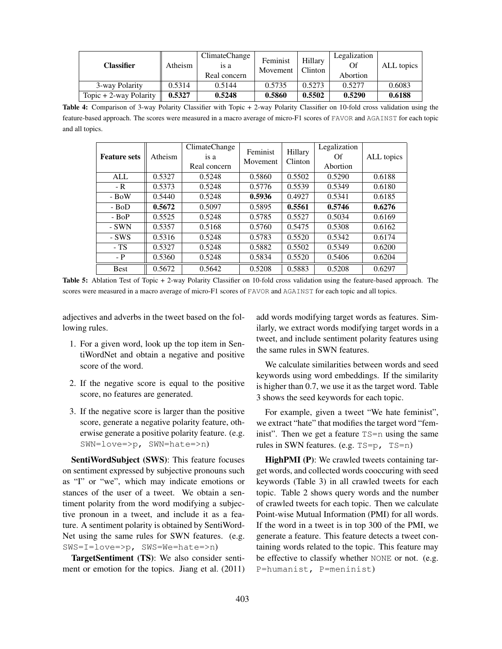| <b>Classifier</b>        | Atheism | ClimateChange<br>is a<br>Real concern | Feminist<br>Movement | Hillary<br>Clinton | Legalization<br>Of<br>Abortion | ALL topics |
|--------------------------|---------|---------------------------------------|----------------------|--------------------|--------------------------------|------------|
| 3-way Polarity           | 0.5314  | 0.5144                                | 0.5735               | 0.5273             | 0.5277                         | 0.6083     |
| Topic $+2$ -way Polarity | 0.5327  | 0.5248                                | 0.5860               | 0.5502             | 0.5290                         | 0.6188     |

Table 4: Comparison of 3-way Polarity Classifier with Topic + 2-way Polarity Classifier on 10-fold cross validation using the feature-based approach. The scores were measured in a macro average of micro-F1 scores of FAVOR and AGAINST for each topic and all topics.

| <b>Feature sets</b> | Atheism | ClimateChange<br>is a<br>Real concern | Feminist<br>Movement | Hillary<br>Clinton | Legalization<br>Of<br>Abortion | ALL topics |
|---------------------|---------|---------------------------------------|----------------------|--------------------|--------------------------------|------------|
| ALL                 | 0.5327  | 0.5248                                | 0.5860               | 0.5502             | 0.5290                         | 0.6188     |
| $-R$                | 0.5373  | 0.5248                                | 0.5776               | 0.5539             | 0.5349                         | 0.6180     |
| - BoW               | 0.5440  | 0.5248                                | 0.5936               | 0.4927             | 0.5341                         | 0.6185     |
| - BoD               | 0.5672  | 0.5097                                | 0.5895               | 0.5561             | 0.5746                         | 0.6276     |
| $- BoP$             | 0.5525  | 0.5248                                | 0.5785               | 0.5527             | 0.5034                         | 0.6169     |
| - SWN               | 0.5357  | 0.5168                                | 0.5760               | 0.5475             | 0.5308                         | 0.6162     |
| - SWS               | 0.5316  | 0.5248                                | 0.5783               | 0.5520             | 0.5342                         | 0.6174     |
| $-TS$               | 0.5327  | 0.5248                                | 0.5882               | 0.5502             | 0.5349                         | 0.6200     |
| $-$ P               | 0.5360  | 0.5248                                | 0.5834               | 0.5520             | 0.5406                         | 0.6204     |
| <b>Best</b>         | 0.5672  | 0.5642                                | 0.5208               | 0.5883             | 0.5208                         | 0.6297     |

Table 5: Ablation Test of Topic + 2-way Polarity Classifier on 10-fold cross validation using the feature-based approach. The scores were measured in a macro average of micro-F1 scores of FAVOR and AGAINST for each topic and all topics.

adjectives and adverbs in the tweet based on the following rules.

- 1. For a given word, look up the top item in SentiWordNet and obtain a negative and positive score of the word.
- 2. If the negative score is equal to the positive score, no features are generated.
- 3. If the negative score is larger than the positive score, generate a negative polarity feature, otherwise generate a positive polarity feature. (e.g. SWN=love=>p, SWN=hate=>n)

SentiWordSubject (SWS): This feature focuses on sentiment expressed by subjective pronouns such as "I" or "we", which may indicate emotions or stances of the user of a tweet. We obtain a sentiment polarity from the word modifying a subjective pronoun in a tweet, and include it as a feature. A sentiment polarity is obtained by SentiWord-Net using the same rules for SWN features. (e.g. SWS=I=love=>p, SWS=We=hate=>n)

TargetSentiment (TS): We also consider sentiment or emotion for the topics. Jiang et al. (2011) add words modifying target words as features. Similarly, we extract words modifying target words in a tweet, and include sentiment polarity features using the same rules in SWN features.

We calculate similarities between words and seed keywords using word embeddings. If the similarity is higher than 0.7, we use it as the target word. Table 3 shows the seed keywords for each topic.

For example, given a tweet "We hate feminist", we extract "hate" that modifies the target word "feminist". Then we get a feature TS=n using the same rules in SWN features. (e.g. TS=p, TS=n)

HighPMI (P): We crawled tweets containing target words, and collected words cooccuring with seed keywords (Table 3) in all crawled tweets for each topic. Table 2 shows query words and the number of crawled tweets for each topic. Then we calculate Point-wise Mutual Information (PMI) for all words. If the word in a tweet is in top 300 of the PMI, we generate a feature. This feature detects a tweet containing words related to the topic. This feature may be effective to classify whether NONE or not. (e.g. P=humanist, P=meninist)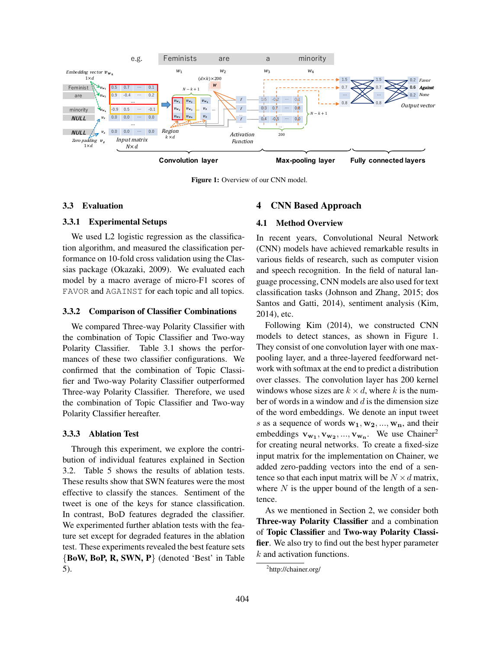

Figure 1: Overview of our CNN model.

#### 3.3 Evaluation

# 3.3.1 Experimental Setups

We used L2 logistic regression as the classification algorithm, and measured the classification performance on 10-fold cross validation using the Classias package (Okazaki, 2009). We evaluated each model by a macro average of micro-F1 scores of FAVOR and AGAINST for each topic and all topics.

# 3.3.2 Comparison of Classifier Combinations

We compared Three-way Polarity Classifier with the combination of Topic Classifier and Two-way Polarity Classifier. Table 3.1 shows the performances of these two classifier configurations. We confirmed that the combination of Topic Classifier and Two-way Polarity Classifier outperformed Three-way Polarity Classifier. Therefore, we used the combination of Topic Classifier and Two-way Polarity Classifier hereafter.

#### 3.3.3 Ablation Test

Through this experiment, we explore the contribution of individual features explained in Section 3.2. Table 5 shows the results of ablation tests. These results show that SWN features were the most effective to classify the stances. Sentiment of the tweet is one of the keys for stance classification. In contrast, BoD features degraded the classifier. We experimented further ablation tests with the feature set except for degraded features in the ablation test. These experiments revealed the best feature sets {BoW, BoP, R, SWN, P} (denoted 'Best' in Table 5).

# 4 CNN Based Approach

#### 4.1 Method Overview

In recent years, Convolutional Neural Network (CNN) models have achieved remarkable results in various fields of research, such as computer vision and speech recognition. In the field of natural language processing, CNN models are also used for text classification tasks (Johnson and Zhang, 2015; dos Santos and Gatti, 2014), sentiment analysis (Kim, 2014), etc.

Following Kim (2014), we constructed CNN models to detect stances, as shown in Figure 1. They consist of one convolution layer with one maxpooling layer, and a three-layered feedforward network with softmax at the end to predict a distribution over classes. The convolution layer has 200 kernel windows whose sizes are  $k \times d$ , where k is the number of words in a window and  $d$  is the dimension size of the word embeddings. We denote an input tweet s as a sequence of words  $w_1, w_2, ..., w_n$ , and their embeddings  $v_{w_1}, v_{w_2}, ..., v_{w_n}$ . We use Chainer<sup>2</sup> for creating neural networks. To create a fixed-size input matrix for the implementation on Chainer, we added zero-padding vectors into the end of a sentence so that each input matrix will be  $N \times d$  matrix, where  $N$  is the upper bound of the length of a sentence.

As we mentioned in Section 2, we consider both Three-way Polarity Classifier and a combination of Topic Classifier and Two-way Polarity Classifier. We also try to find out the best hyper parameter  $k$  and activation functions.

<sup>&</sup>lt;sup>2</sup>http://chainer.org/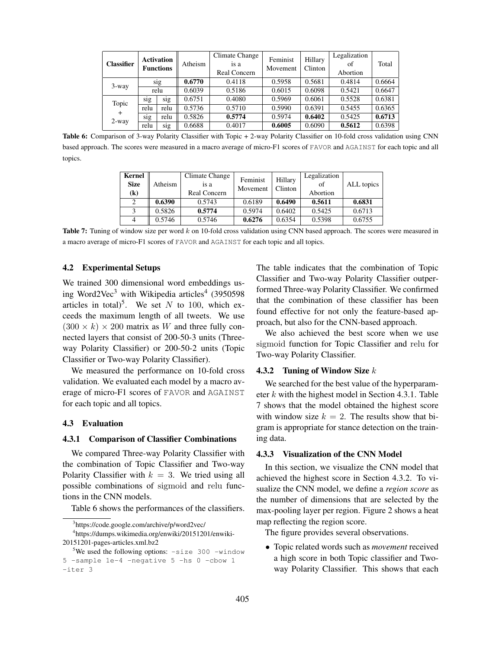| <b>Classifier</b> |                  | <b>Activation</b><br><b>Functions</b> | Atheism | Climate Change<br>is a<br>Real Concern | Feminist<br>Movement | Hillary<br>Clinton | Legalization<br>of<br>Abortion | Total  |
|-------------------|------------------|---------------------------------------|---------|----------------------------------------|----------------------|--------------------|--------------------------------|--------|
|                   |                  | sig                                   | 0.6770  | 0.4118                                 | 0.5958               | 0.5681             | 0.4814                         | 0.6664 |
|                   | $3$ -way<br>relu | 0.6039                                | 0.5186  | 0.6015                                 | 0.6098               | 0.5421             | 0.6647                         |        |
| Topic             | sig              | sig                                   | 0.6751  | 0.4080                                 | 0.5969               | 0.6061             | 0.5528                         | 0.6381 |
| $+$               | relu             | relu                                  | 0.5736  | 0.5710                                 | 0.5990               | 0.6391             | 0.5455                         | 0.6365 |
| $2$ -way          | sig              | relu                                  | 0.5826  | 0.5774                                 | 0.5974               | 0.6402             | 0.5425                         | 0.6713 |
|                   | relu             | sig                                   | 0.6688  | 0.4017                                 | 0.6005               | 0.6090             | 0.5612                         | 0.6398 |

Table 6: Comparison of 3-way Polarity Classifier with Topic + 2-way Polarity Classifier on 10-fold cross validation using CNN based approach. The scores were measured in a macro average of micro-F1 scores of FAVOR and AGAINST for each topic and all topics.

| Kernel<br><b>Size</b><br>(k) | Atheism | Climate Change<br>is a<br><b>Real Concern</b> | Feminist<br>Movement | Hillary<br>Clinton | Legalization<br>of<br>Abortion | ALL topics |
|------------------------------|---------|-----------------------------------------------|----------------------|--------------------|--------------------------------|------------|
| 2                            | 0.6390  | 0.5743                                        | 0.6189               | 0.6490             | 0.5611                         | 0.6831     |
| 3                            | 0.5826  | 0.5774                                        | 0.5974               | 0.6402             | 0.5425                         | 0.6713     |
| 4                            | 0.5746  | 0.5746                                        | 0.6276               | 0.6354             | 0.5398                         | 0.6755     |

Table 7: Tuning of window size per word k on 10-fold cross validation using CNN based approach. The scores were measured in a macro average of micro-F1 scores of FAVOR and AGAINST for each topic and all topics.

# 4.2 Experimental Setups

We trained 300 dimensional word embeddings using Word2Vec<sup>3</sup> with Wikipedia articles<sup>4</sup> (3950598 articles in total)<sup>5</sup>. We set N to 100, which exceeds the maximum length of all tweets. We use  $(300 \times k) \times 200$  matrix as W and three fully connected layers that consist of 200-50-3 units (Threeway Polarity Classifier) or 200-50-2 units (Topic Classifier or Two-way Polarity Classifier).

We measured the performance on 10-fold cross validation. We evaluated each model by a macro average of micro-F1 scores of FAVOR and AGAINST for each topic and all topics.

# 4.3 Evaluation

#### 4.3.1 Comparison of Classifier Combinations

We compared Three-way Polarity Classifier with the combination of Topic Classifier and Two-way Polarity Classifier with  $k = 3$ . We tried using all possible combinations of sigmoid and relu functions in the CNN models.

Table 6 shows the performances of the classifiers.

The table indicates that the combination of Topic Classifier and Two-way Polarity Classifier outperformed Three-way Polarity Classifier. We confirmed that the combination of these classifier has been found effective for not only the feature-based approach, but also for the CNN-based approach.

We also achieved the best score when we use sigmoid function for Topic Classifier and relu for Two-way Polarity Classifier.

# 4.3.2 Tuning of Window Size k

We searched for the best value of the hyperparameter  $k$  with the highest model in Section 4.3.1. Table 7 shows that the model obtained the highest score with window size  $k = 2$ . The results show that bigram is appropriate for stance detection on the training data.

# 4.3.3 Visualization of the CNN Model

In this section, we visualize the CNN model that achieved the highest score in Section 4.3.2. To visualize the CNN model, we define a *region score* as the number of dimensions that are selected by the max-pooling layer per region. Figure 2 shows a heat map reflecting the region score.

The figure provides several observations.

• Topic related words such as *movement* received a high score in both Topic classifier and Twoway Polarity Classifier. This shows that each

<sup>3</sup> https://code.google.com/archive/p/word2vec/

<sup>4</sup> https://dumps.wikimedia.org/enwiki/20151201/enwiki-20151201-pages-articles.xml.bz2

<sup>&</sup>lt;sup>5</sup>We used the following options:  $-\text{size}$  300  $-\text{window}$ 5 -sample 1e-4 -negative 5 -hs 0 -cbow 1 -iter 3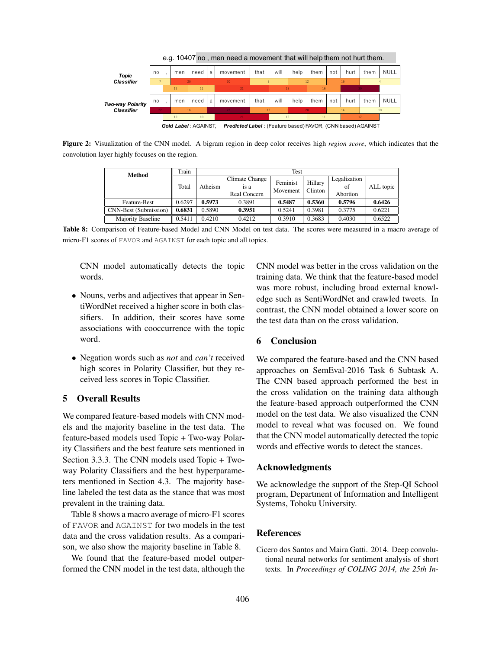

Figure 2: Visualization of the CNN model. A bigram region in deep color receives high *region score*, which indicates that the convolution layer highly focuses on the region.

| <b>Method</b>         | Train  | Test    |                |          |                     |              |               |
|-----------------------|--------|---------|----------------|----------|---------------------|--------------|---------------|
|                       |        |         | Climate Change |          | Hillary<br>Feminist | Legalization |               |
|                       | Total  | Atheism | is a           | Movement | Clinton             | of           | ALL topic $ $ |
|                       |        |         | Real Concern   |          |                     | Abortion     |               |
| Feature-Best          | 0.6297 | 0.5973  | 0.3891         | 0.5487   | 0.5360              | 0.5796       | 0.6426        |
| CNN-Best (Submission) | 0.6831 | 0.5890  | 0.3951         | 0.5241   | 0.3981              | 0.3775       | 0.6221        |
| Majority Baseline     | 0.5411 | 0.4210  | 0.4212         | 0.3910   | 0.3683              | 0.4030       | 0.6522        |

Table 8: Comparison of Feature-based Model and CNN Model on test data. The scores were measured in a macro average of micro-F1 scores of FAVOR and AGAINST for each topic and all topics.

CNN model automatically detects the topic words.

- Nouns, verbs and adjectives that appear in SentiWordNet received a higher score in both classifiers. In addition, their scores have some associations with cooccurrence with the topic word.
- Negation words such as *not* and *can't* received high scores in Polarity Classifier, but they received less scores in Topic Classifier.

# 5 Overall Results

We compared feature-based models with CNN models and the majority baseline in the test data. The feature-based models used Topic + Two-way Polarity Classifiers and the best feature sets mentioned in Section 3.3.3. The CNN models used Topic + Twoway Polarity Classifiers and the best hyperparameters mentioned in Section 4.3. The majority baseline labeled the test data as the stance that was most prevalent in the training data.

Table 8 shows a macro average of micro-F1 scores of FAVOR and AGAINST for two models in the test data and the cross validation results. As a comparison, we also show the majority baseline in Table 8.

We found that the feature-based model outperformed the CNN model in the test data, although the CNN model was better in the cross validation on the training data. We think that the feature-based model was more robust, including broad external knowledge such as SentiWordNet and crawled tweets. In contrast, the CNN model obtained a lower score on the test data than on the cross validation.

# 6 Conclusion

We compared the feature-based and the CNN based approaches on SemEval-2016 Task 6 Subtask A. The CNN based approach performed the best in the cross validation on the training data although the feature-based approach outperformed the CNN model on the test data. We also visualized the CNN model to reveal what was focused on. We found that the CNN model automatically detected the topic words and effective words to detect the stances.

#### Acknowledgments

We acknowledge the support of the Step-QI School program, Department of Information and Intelligent Systems, Tohoku University.

# References

Cicero dos Santos and Maira Gatti. 2014. Deep convolutional neural networks for sentiment analysis of short texts. In *Proceedings of COLING 2014, the 25th In-*